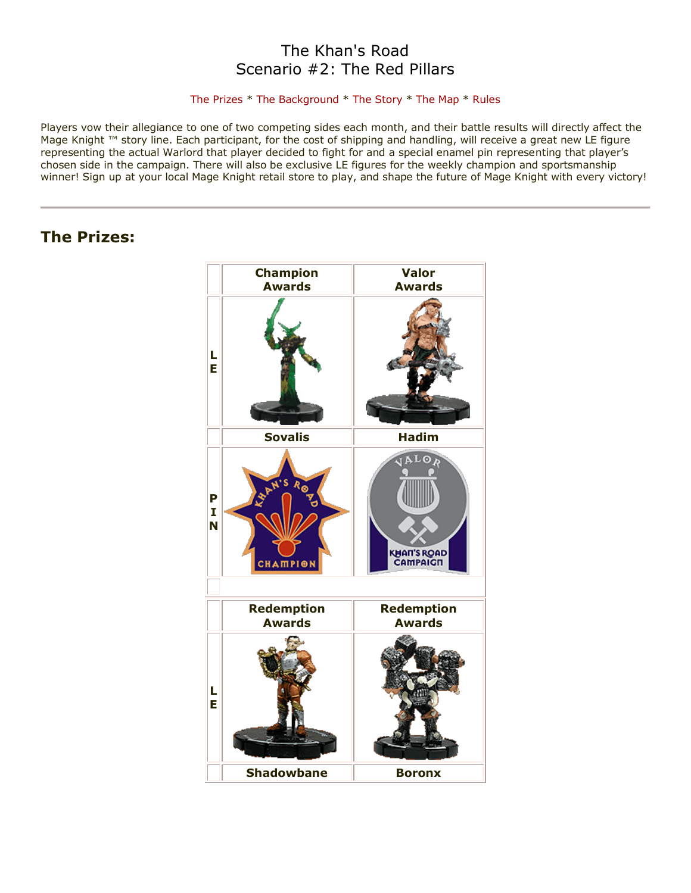## The Khan's Road Scenario #2: The Red Pillars

#### [The Prizes](http://www.wizkidsgames.com/mageknight/article.asp?cid=37207&frame=Talesfromtheland#prizes#prizes) \* [The Background](http://www.wizkidsgames.com/mageknight/article.asp?cid=37207&frame=Talesfromtheland#background#background) \* [The Story](http://www.wizkidsgames.com/mageknight/article.asp?cid=37207&frame=Talesfromtheland#story#story) \* [The Map](http://www.wizkidsgames.com/mageknight/article.asp?cid=37207&frame=Talesfromtheland#map#map) \* [Rules](http://www.wizkidsgames.com/mageknight/article.asp?cid=37207&frame=Talesfromtheland#week#week)

Players vow their allegiance to one of two competing sides each month, and their battle results will directly affect the Mage Knight ™ story line. Each participant, for the cost of shipping and handling, will receive a great new LE figure representing the actual Warlord that player decided to fight for and a special enamel pin representing that player's chosen side in the campaign. There will also be exclusive LE figures for the weekly champion and sportsmanship winner! Sign up at your local Mage Knight retail store to play, and shape the future of Mage Knight with every victory!

## **The Prizes:**

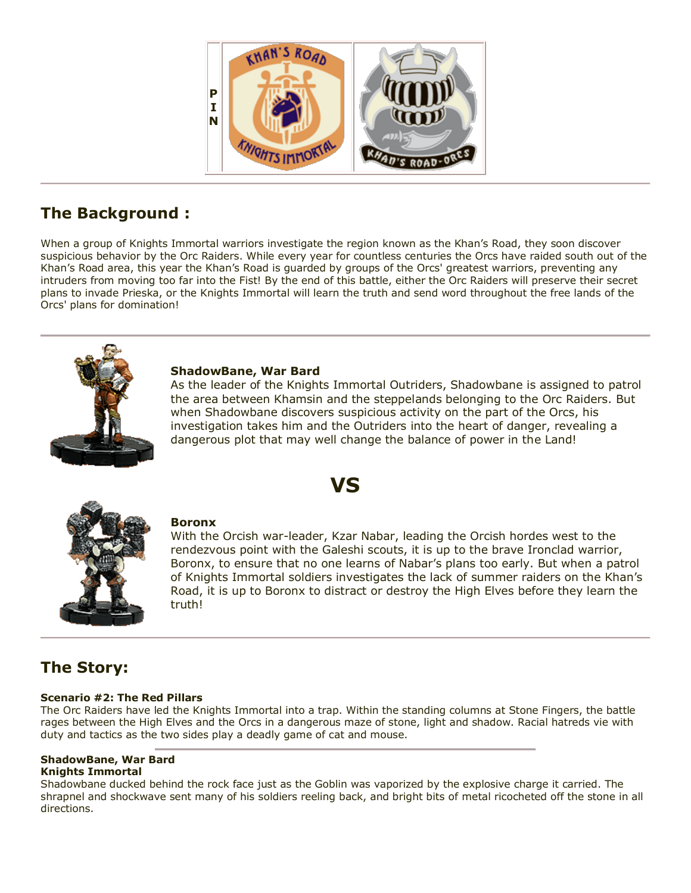

# **The Background :**

When a group of Knights Immortal warriors investigate the region known as the Khan's Road, they soon discover suspicious behavior by the Orc Raiders. While every year for countless centuries the Orcs have raided south out of the Khan's Road area, this year the Khan's Road is guarded by groups of the Orcs' greatest warriors, preventing any intruders from moving too far into the Fist! By the end of this battle, either the Orc Raiders will preserve their secret plans to invade Prieska, or the Knights Immortal will learn the truth and send word throughout the free lands of the Orcs' plans for domination!

**VS**



### **ShadowBane, War Bard**

As the leader of the Knights Immortal Outriders, Shadowbane is assigned to patrol the area between Khamsin and the steppelands belonging to the Orc Raiders. But when Shadowbane discovers suspicious activity on the part of the Orcs, his investigation takes him and the Outriders into the heart of danger, revealing a dangerous plot that may well change the balance of power in the Land!



### **Boronx**

With the Orcish war-leader, Kzar Nabar, leading the Orcish hordes west to the rendezvous point with the Galeshi scouts, it is up to the brave Ironclad warrior, Boronx, to ensure that no one learns of Nabar's plans too early. But when a patrol of Knights Immortal soldiers investigates the lack of summer raiders on the Khan's Road, it is up to Boronx to distract or destroy the High Elves before they learn the truth!

# **The Story:**

## **Scenario #2: The Red Pillars**

The Orc Raiders have led the Knights Immortal into a trap. Within the standing columns at Stone Fingers, the battle rages between the High Elves and the Orcs in a dangerous maze of stone, light and shadow. Racial hatreds vie with duty and tactics as the two sides play a deadly game of cat and mouse.

#### **ShadowBane, War Bard Knights Immortal**

Shadowbane ducked behind the rock face just as the Goblin was vaporized by the explosive charge it carried. The shrapnel and shockwave sent many of his soldiers reeling back, and bright bits of metal ricocheted off the stone in all directions.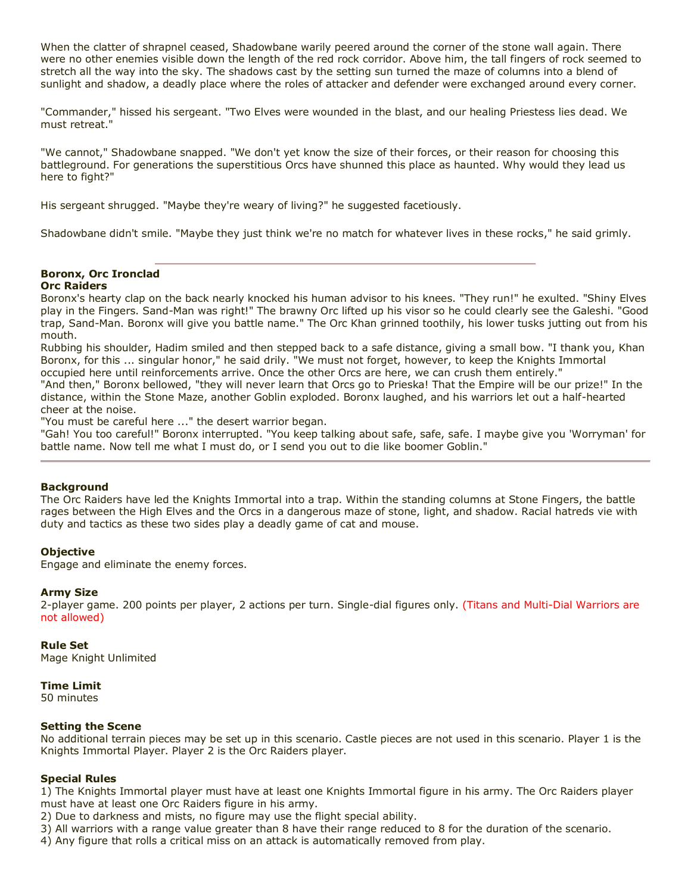When the clatter of shrapnel ceased, Shadowbane warily peered around the corner of the stone wall again. There were no other enemies visible down the length of the red rock corridor. Above him, the tall fingers of rock seemed to stretch all the way into the sky. The shadows cast by the setting sun turned the maze of columns into a blend of sunlight and shadow, a deadly place where the roles of attacker and defender were exchanged around every corner.

"Commander," hissed his sergeant. "Two Elves were wounded in the blast, and our healing Priestess lies dead. We must retreat."

"We cannot," Shadowbane snapped. "We don't yet know the size of their forces, or their reason for choosing this battleground. For generations the superstitious Orcs have shunned this place as haunted. Why would they lead us here to fight?"

His sergeant shrugged. "Maybe they're weary of living?" he suggested facetiously.

Shadowbane didn't smile. "Maybe they just think we're no match for whatever lives in these rocks," he said grimly.

#### **Boronx, Orc Ironclad Orc Raiders**

Boronx's hearty clap on the back nearly knocked his human advisor to his knees. "They run!" he exulted. "Shiny Elves play in the Fingers. Sand-Man was right!" The brawny Orc lifted up his visor so he could clearly see the Galeshi. "Good trap, Sand-Man. Boronx will give you battle name." The Orc Khan grinned toothily, his lower tusks jutting out from his mouth.

Rubbing his shoulder, Hadim smiled and then stepped back to a safe distance, giving a small bow. "I thank you, Khan Boronx, for this ... singular honor," he said drily. "We must not forget, however, to keep the Knights Immortal occupied here until reinforcements arrive. Once the other Orcs are here, we can crush them entirely."

"And then," Boronx bellowed, "they will never learn that Orcs go to Prieska! That the Empire will be our prize!" In the distance, within the Stone Maze, another Goblin exploded. Boronx laughed, and his warriors let out a half-hearted cheer at the noise.

"You must be careful here ..." the desert warrior began.

"Gah! You too careful!" Boronx interrupted. "You keep talking about safe, safe, safe. I maybe give you 'Worryman' for battle name. Now tell me what I must do, or I send you out to die like boomer Goblin."

#### **Background**

The Orc Raiders have led the Knights Immortal into a trap. Within the standing columns at Stone Fingers, the battle rages between the High Elves and the Orcs in a dangerous maze of stone, light, and shadow. Racial hatreds vie with duty and tactics as these two sides play a deadly game of cat and mouse.

#### **Objective**

Engage and eliminate the enemy forces.

#### **Army Size**

2-player game. 200 points per player, 2 actions per turn. Single-dial figures only. (Titans and Multi-Dial Warriors are not allowed)

#### **Rule Set**

Mage Knight Unlimited

#### **Time Limit**

50 minutes

#### **Setting the Scene**

No additional terrain pieces may be set up in this scenario. Castle pieces are not used in this scenario. Player 1 is the Knights Immortal Player. Player 2 is the Orc Raiders player.

#### **Special Rules**

1) The Knights Immortal player must have at least one Knights Immortal figure in his army. The Orc Raiders player must have at least one Orc Raiders figure in his army.

2) Due to darkness and mists, no figure may use the flight special ability.

3) All warriors with a range value greater than 8 have their range reduced to 8 for the duration of the scenario.

4) Any figure that rolls a critical miss on an attack is automatically removed from play.